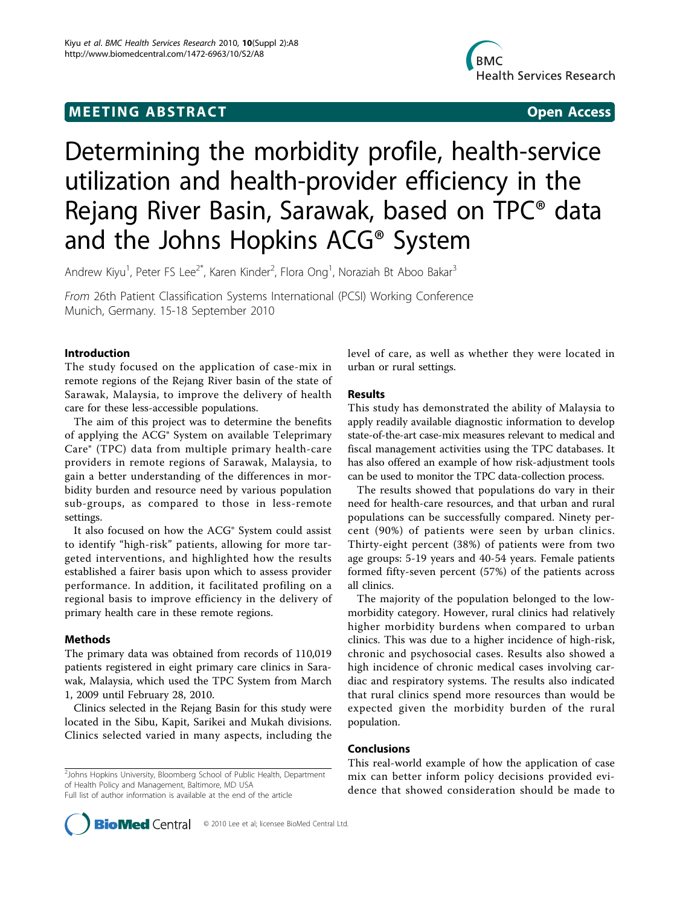## **MEETING ABSTRACT ACCESS**



# Determining the morbidity profile, health-service utilization and health-provider efficiency in the Rejang River Basin, Sarawak, based on TPC® data and the Johns Hopkins ACG® System

Andrew Kiyu<sup>1</sup>, Peter FS Lee<sup>2\*</sup>, Karen Kinder<sup>2</sup>, Flora Ong<sup>1</sup>, Noraziah Bt Aboo Bakar<sup>3</sup>

From 26th Patient Classification Systems International (PCSI) Working Conference Munich, Germany. 15-18 September 2010

### Introduction

The study focused on the application of case-mix in remote regions of the Rejang River basin of the state of Sarawak, Malaysia, to improve the delivery of health care for these less-accessible populations.

The aim of this project was to determine the benefits of applying the ACG® System on available Teleprimary Care® (TPC) data from multiple primary health-care providers in remote regions of Sarawak, Malaysia, to gain a better understanding of the differences in morbidity burden and resource need by various population sub-groups, as compared to those in less-remote settings.

It also focused on how the ACG® System could assist to identify "high-risk" patients, allowing for more targeted interventions, and highlighted how the results established a fairer basis upon which to assess provider performance. In addition, it facilitated profiling on a regional basis to improve efficiency in the delivery of primary health care in these remote regions.

### Methods

The primary data was obtained from records of 110,019 patients registered in eight primary care clinics in Sarawak, Malaysia, which used the TPC System from March 1, 2009 until February 28, 2010.

Clinics selected in the Rejang Basin for this study were located in the Sibu, Kapit, Sarikei and Mukah divisions. Clinics selected varied in many aspects, including the

Full list of author information is available at the end of the article

level of care, as well as whether they were located in urban or rural settings.

#### Results

This study has demonstrated the ability of Malaysia to apply readily available diagnostic information to develop state-of-the-art case-mix measures relevant to medical and fiscal management activities using the TPC databases. It has also offered an example of how risk-adjustment tools can be used to monitor the TPC data-collection process.

The results showed that populations do vary in their need for health-care resources, and that urban and rural populations can be successfully compared. Ninety percent (90%) of patients were seen by urban clinics. Thirty-eight percent (38%) of patients were from two age groups: 5-19 years and 40-54 years. Female patients formed fifty-seven percent (57%) of the patients across all clinics.

The majority of the population belonged to the lowmorbidity category. However, rural clinics had relatively higher morbidity burdens when compared to urban clinics. This was due to a higher incidence of high-risk, chronic and psychosocial cases. Results also showed a high incidence of chronic medical cases involving cardiac and respiratory systems. The results also indicated that rural clinics spend more resources than would be expected given the morbidity burden of the rural population.

#### Conclusions

This real-world example of how the application of case mix can better inform policy decisions provided evidence that showed consideration should be made to



<sup>&</sup>lt;sup>2</sup>Johns Hopkins University, Bloomberg School of Public Health, Department of Health Policy and Management, Baltimore, MD USA